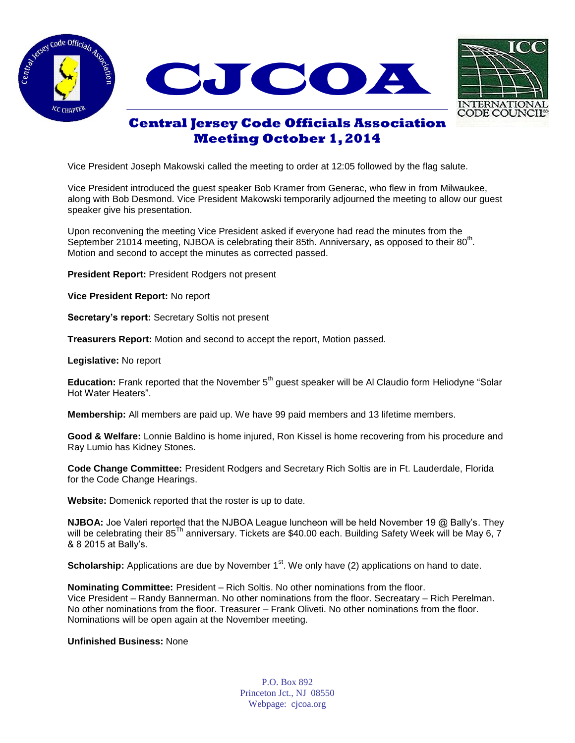





## **Central Jersey Code Officials Association Meeting October 1, 2014**

Vice President Joseph Makowski called the meeting to order at 12:05 followed by the flag salute.

Vice President introduced the guest speaker Bob Kramer from Generac, who flew in from Milwaukee, along with Bob Desmond. Vice President Makowski temporarily adjourned the meeting to allow our guest speaker give his presentation.

Upon reconvening the meeting Vice President asked if everyone had read the minutes from the September 21014 meeting, NJBOA is celebrating their 85th. Anniversary, as opposed to their 80<sup>th</sup>. Motion and second to accept the minutes as corrected passed.

**President Report:** President Rodgers not present

**Vice President Report:** No report

**Secretary's report:** Secretary Soltis not present

**Treasurers Report:** Motion and second to accept the report, Motion passed.

**Legislative:** No report

**Education:** Frank reported that the November 5<sup>th</sup> guest speaker will be Al Claudio form Heliodyne "Solar Hot Water Heaters".

**Membership:** All members are paid up. We have 99 paid members and 13 lifetime members.

**Good & Welfare:** Lonnie Baldino is home injured, Ron Kissel is home recovering from his procedure and Ray Lumio has Kidney Stones.

**Code Change Committee:** President Rodgers and Secretary Rich Soltis are in Ft. Lauderdale, Florida for the Code Change Hearings.

**Website:** Domenick reported that the roster is up to date.

**NJBOA:** Joe Valeri reported that the NJBOA League luncheon will be held November 19 @ Bally's. They will be celebrating their 85<sup>Th</sup> anniversary. Tickets are \$40.00 each. Building Safety Week will be May 6, 7 & 8 2015 at Bally's.

**Scholarship:** Applications are due by November 1<sup>st</sup>. We only have (2) applications on hand to date.

**Nominating Committee:** President – Rich Soltis. No other nominations from the floor. Vice President – Randy Bannerman. No other nominations from the floor. Secreatary – Rich Perelman. No other nominations from the floor. Treasurer – Frank Oliveti. No other nominations from the floor. Nominations will be open again at the November meeting.

## **Unfinished Business:** None

P.O. Box 892 Princeton Jct., NJ 08550 Webpage: cjcoa.org